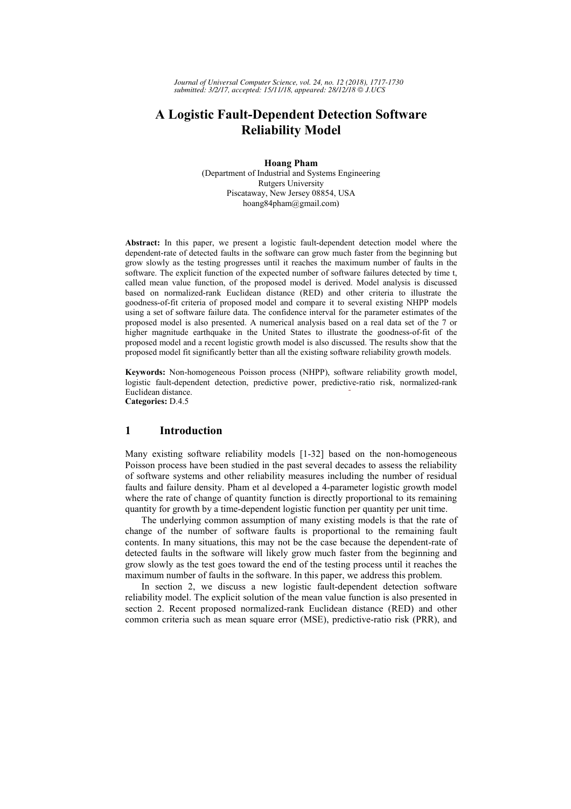*Journal of Universal Computer Science, vol. 24, no. 12 (2018), 1717-1730 submitted: 3/2/17, accepted: 15/11/18, appeared: 28/12/18 J.UCS*

# **A Logistic Fault-Dependent Detection Software Reliability Model**

**Hoang Pham**  (Department of Industrial and Systems Engineering Rutgers University Piscataway, New Jersey 08854, USA hoang84pham@gmail.com)

**Abstract:** In this paper, we present a logistic fault-dependent detection model where the dependent-rate of detected faults in the software can grow much faster from the beginning but grow slowly as the testing progresses until it reaches the maximum number of faults in the software. The explicit function of the expected number of software failures detected by time t, called mean value function, of the proposed model is derived. Model analysis is discussed based on normalized-rank Euclidean distance (RED) and other criteria to illustrate the goodness-of-fit criteria of proposed model and compare it to several existing NHPP models using a set of software failure data. The confidence interval for the parameter estimates of the proposed model is also presented. A numerical analysis based on a real data set of the 7 or higher magnitude earthquake in the United States to illustrate the goodness-of-fit of the proposed model and a recent logistic growth model is also discussed. The results show that the proposed model fit significantly better than all the existing software reliability growth models.

**Keywords:** Non-homogeneous Poisson process (NHPP), software reliability growth model, logistic fault-dependent detection, predictive power, predictive-ratio risk, normalized-rank Euclidean distance. **Categories:** D.4.5

### **1 Introduction**

Many existing software reliability models [1-32] based on the non-homogeneous Poisson process have been studied in the past several decades to assess the reliability of software systems and other reliability measures including the number of residual faults and failure density. Pham et al developed a 4-parameter logistic growth model where the rate of change of quantity function is directly proportional to its remaining quantity for growth by a time-dependent logistic function per quantity per unit time.

The underlying common assumption of many existing models is that the rate of change of the number of software faults is proportional to the remaining fault contents. In many situations, this may not be the case because the dependent-rate of detected faults in the software will likely grow much faster from the beginning and grow slowly as the test goes toward the end of the testing process until it reaches the maximum number of faults in the software. In this paper, we address this problem.

In section 2, we discuss a new logistic fault-dependent detection software reliability model. The explicit solution of the mean value function is also presented in section 2. Recent proposed normalized-rank Euclidean distance (RED) and other common criteria such as mean square error (MSE), predictive-ratio risk (PRR), and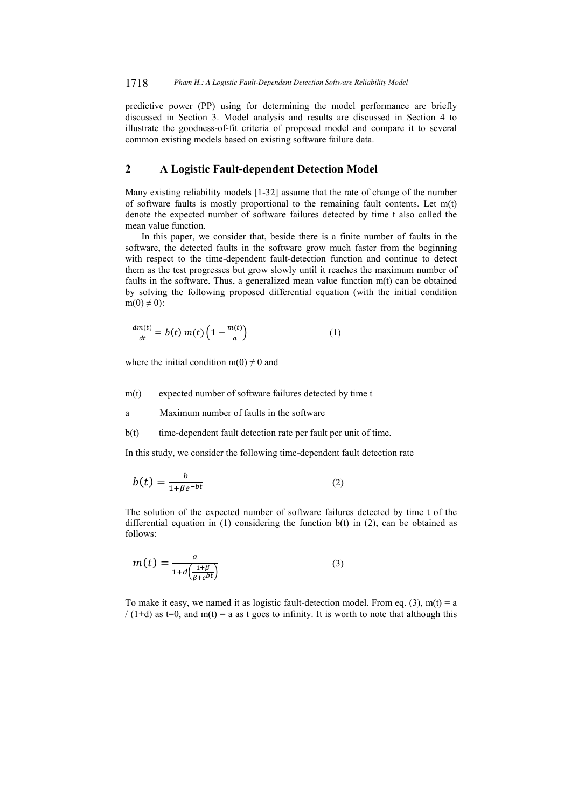predictive power (PP) using for determining the model performance are briefly discussed in Section 3. Model analysis and results are discussed in Section 4 to illustrate the goodness-of-fit criteria of proposed model and compare it to several common existing models based on existing software failure data.

## **2 A Logistic Fault-dependent Detection Model**

Many existing reliability models [1-32] assume that the rate of change of the number of software faults is mostly proportional to the remaining fault contents. Let  $m(t)$ denote the expected number of software failures detected by time t also called the mean value function.

In this paper, we consider that, beside there is a finite number of faults in the software, the detected faults in the software grow much faster from the beginning with respect to the time-dependent fault-detection function and continue to detect them as the test progresses but grow slowly until it reaches the maximum number of faults in the software. Thus, a generalized mean value function m(t) can be obtained by solving the following proposed differential equation (with the initial condition  $m(0) \neq 0$ :

$$
\frac{dm(t)}{dt} = b(t) m(t) \left(1 - \frac{m(t)}{a}\right) \tag{1}
$$

where the initial condition  $m(0) \neq 0$  and

m(t) expected number of software failures detected by time t

a Maximum number of faults in the software

b(t) time-dependent fault detection rate per fault per unit of time.

In this study, we consider the following time-dependent fault detection rate

$$
b(t) = \frac{b}{1 + \beta e^{-bt}}\tag{2}
$$

The solution of the expected number of software failures detected by time t of the differential equation in  $(1)$  considering the function  $b(t)$  in  $(2)$ , can be obtained as follows:

$$
m(t) = \frac{a}{1 + d\left(\frac{1+\beta}{\beta + e^{bt}}\right)}\tag{3}
$$

To make it easy, we named it as logistic fault-detection model. From eq. (3),  $m(t) = a$ / (1+d) as t=0, and m(t) = a as t goes to infinity. It is worth to note that although this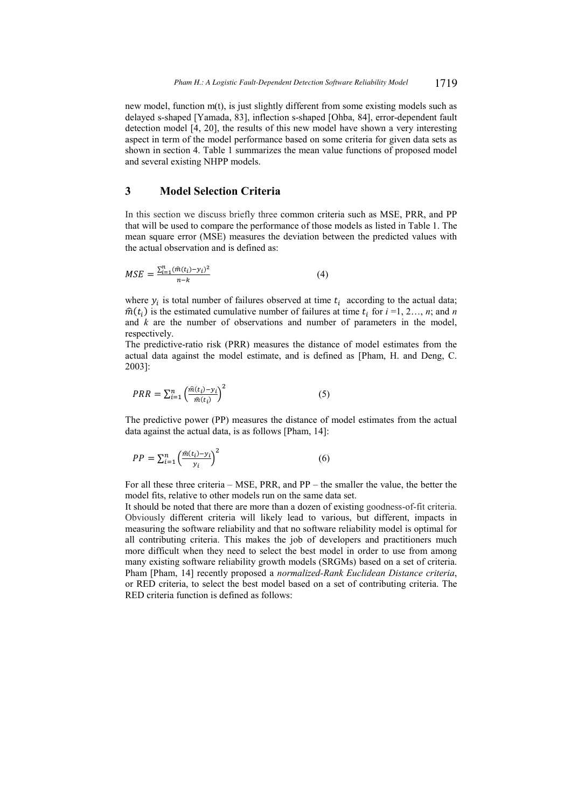new model, function m(t), is just slightly different from some existing models such as delayed s-shaped [Yamada, 83], inflection s-shaped [Ohba, 84], error-dependent fault detection model [4, 20], the results of this new model have shown a very interesting aspect in term of the model performance based on some criteria for given data sets as shown in section 4. Table 1 summarizes the mean value functions of proposed model and several existing NHPP models.

## **3 Model Selection Criteria**

In this section we discuss briefly three common criteria such as MSE, PRR, and PP that will be used to compare the performance of those models as listed in Table 1. The mean square error (MSE) measures the deviation between the predicted values with the actual observation and is defined as:

$$
MSE = \frac{\sum_{i=1}^{n} (\hat{m}(t_i) - y_i)^2}{n - k}
$$
(4)

where  $y_i$  is total number of failures observed at time  $t_i$  according to the actual data;  $\hat{m}(t_i)$  is the estimated cumulative number of failures at time  $t_i$  for  $i = 1, 2..., n$ ; and *n* and *k* are the number of observations and number of parameters in the model, respectively.

The predictive-ratio risk (PRR) measures the distance of model estimates from the actual data against the model estimate, and is defined as [Pham, H. and Deng, C. 2003]:

$$
PRR = \sum_{i=1}^{n} \left(\frac{\hat{m}(t_i) - y_i}{\hat{m}(t_i)}\right)^2
$$
\n<sup>(5)</sup>

The predictive power (PP) measures the distance of model estimates from the actual data against the actual data, is as follows [Pham, 14]:

$$
PP = \sum_{i=1}^{n} \left(\frac{\hat{m}(t_i) - y_i}{y_i}\right)^2 \tag{6}
$$

For all these three criteria – MSE, PRR, and PP – the smaller the value, the better the model fits, relative to other models run on the same data set.

It should be noted that there are more than a dozen of existing goodness-of-fit criteria. Obviously different criteria will likely lead to various, but different, impacts in measuring the software reliability and that no software reliability model is optimal for all contributing criteria. This makes the job of developers and practitioners much more difficult when they need to select the best model in order to use from among many existing software reliability growth models (SRGMs) based on a set of criteria. Pham [Pham, 14] recently proposed a *normalized-Rank Euclidean Distance criteria*, or RED criteria, to select the best model based on a set of contributing criteria. The RED criteria function is defined as follows: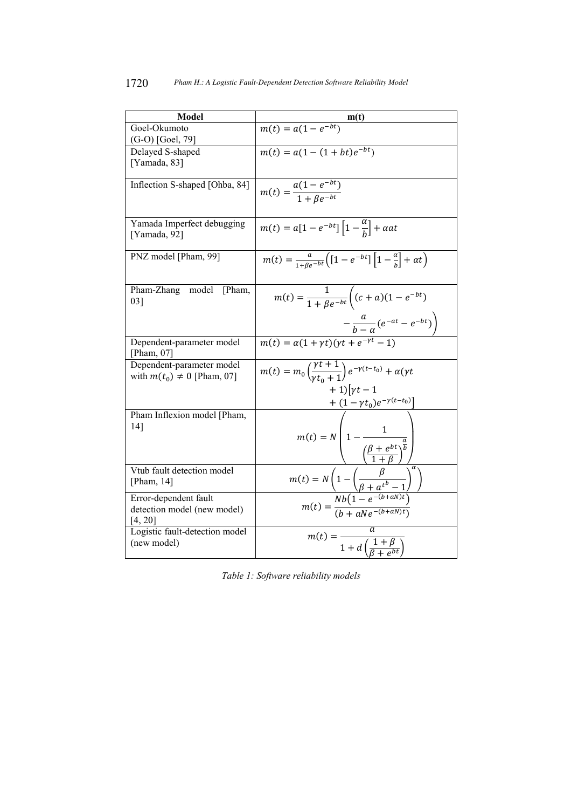| <b>Model</b>                               |                                                                                                                                                             |
|--------------------------------------------|-------------------------------------------------------------------------------------------------------------------------------------------------------------|
|                                            |                                                                                                                                                             |
| Goel-Okumoto                               | $m(t) = a(1 - e^{-bt})$                                                                                                                                     |
| $(G-O)$ [Goel, 79]                         |                                                                                                                                                             |
| Delayed S-shaped                           | $m(t) = a(1 - (1 + bt)e^{-bt})$                                                                                                                             |
| [Yamada, 83]                               |                                                                                                                                                             |
|                                            |                                                                                                                                                             |
| Inflection S-shaped [Ohba, 84]             | $m(t) = \frac{a(1 - e^{-bt})}{1 + Re^{-bt}}$                                                                                                                |
|                                            |                                                                                                                                                             |
|                                            |                                                                                                                                                             |
|                                            |                                                                                                                                                             |
| Yamada Imperfect debugging<br>[Yamada, 92] | $m(t) = a[1 - e^{-bt}]\left[1 - \frac{a}{h}\right] + \alpha a t$                                                                                            |
|                                            |                                                                                                                                                             |
| PNZ model [Pham, 99]                       |                                                                                                                                                             |
|                                            | $m(t) = \frac{a}{1 + \beta e^{-bt}} \left[ \left[ 1 - e^{-bt} \right] \left[ 1 - \frac{a}{b} \right] + \alpha t \right]$                                    |
|                                            |                                                                                                                                                             |
| Pham-Zhang<br>model<br>[Pham,              |                                                                                                                                                             |
| 03]                                        | $m(t) = \frac{1}{1 + Be^{-bt}} \left( (c+a)(1 - e^{-bt}) \right)$                                                                                           |
|                                            |                                                                                                                                                             |
|                                            |                                                                                                                                                             |
|                                            | $-\frac{u}{b-a}(e^{-at}-e^{-bt})\bigg)$                                                                                                                     |
| Dependent-parameter model                  | $m(t) = \alpha(1 + \gamma t)(\gamma t + e^{-\gamma t} - 1)$                                                                                                 |
| [Pham, $07$ ]                              |                                                                                                                                                             |
| Dependent-parameter model                  |                                                                                                                                                             |
| with $m(t_0) \neq 0$ [Pham, 07]            | $\overline{m(t)} = m_0 \left( \frac{\gamma t + 1}{\gamma t_0 + 1} \right) e^{-\gamma (t - t_0)} + \alpha (\gamma t)$                                        |
|                                            | $+1$ [ $vt-1$ ]                                                                                                                                             |
|                                            |                                                                                                                                                             |
|                                            | $+\left(1-\gamma t_0\right)e^{-\gamma\left(t-t_0\right)}\right]$                                                                                            |
| Pham Inflexion model [Pham,                |                                                                                                                                                             |
| 14]                                        |                                                                                                                                                             |
|                                            |                                                                                                                                                             |
|                                            | $m(t) = N \left( 1 - \frac{1}{\left(\frac{\beta + e^{bt}}{1 + R}\right)^{\frac{a}{b}}} \right)$                                                             |
| Vtub fault detection model                 |                                                                                                                                                             |
| [Pham, $14$ ]                              |                                                                                                                                                             |
|                                            | $m(t) = N \left( 1 - \left( \frac{\beta}{\beta + a^{t^{b}} - 1} \right)^{\alpha} \right)$<br>$m(t) = \frac{Nb(1 - e^{-(b + aN)t})}{(b + aNe^{-(b + aN)t})}$ |
| Error-dependent fault                      |                                                                                                                                                             |
| detection model (new model)                |                                                                                                                                                             |
| [4, 20]                                    |                                                                                                                                                             |
| Logistic fault-detection model             |                                                                                                                                                             |
| (new model)                                | $m(t) = \frac{}{1+d\left(\frac{1+\beta}{\beta+e^{bt}}\right)}$                                                                                              |
|                                            |                                                                                                                                                             |

*Table 1: Software reliability models*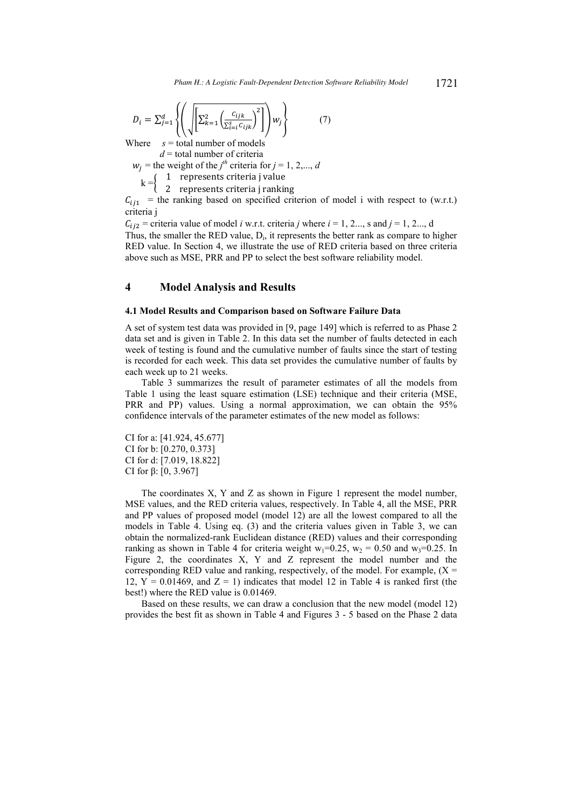$$
D_i = \sum_{j=1}^d \left\{ \left( \sqrt{\left[ \sum_{k=1}^2 \left( \frac{c_{ijk}}{\sum_{i=1}^S c_{ijk}} \right)^2 \right]} \right) w_j \right\} \tag{7}
$$

Where  $s =$  total number of models

 $d =$ total number of criteria

 $w_j$  = the weight of the *j*<sup>th</sup> criteria for *j* = 1, 2,..., *d* 

 $k = \}$ 1 represents criteria j value

2 represents criteria j ranking

 $C_{i,j1}$  = the ranking based on specified criterion of model i with respect to (w.r.t.) criteria j

 $C_{i_1i_2}$  = criteria value of model *i* w.r.t. criteria *j* where  $i = 1, 2...$ , s and  $j = 1, 2...$ , d Thus, the smaller the RED value,  $D_i$ , it represents the better rank as compare to higher RED value. In Section 4, we illustrate the use of RED criteria based on three criteria above such as MSE, PRR and PP to select the best software reliability model.

### **4 Model Analysis and Results**

#### **4.1 Model Results and Comparison based on Software Failure Data**

A set of system test data was provided in [9, page 149] which is referred to as Phase 2 data set and is given in Table 2. In this data set the number of faults detected in each week of testing is found and the cumulative number of faults since the start of testing is recorded for each week. This data set provides the cumulative number of faults by each week up to 21 weeks.

Table 3 summarizes the result of parameter estimates of all the models from Table 1 using the least square estimation (LSE) technique and their criteria (MSE, PRR and PP) values. Using a normal approximation, we can obtain the 95% confidence intervals of the parameter estimates of the new model as follows:

CI for a: [41.924, 45.677] CI for b: [0.270, 0.373] CI for d: [7.019, 18.822] CI for β: [0, 3.967]

The coordinates X, Y and Z as shown in Figure 1 represent the model number, MSE values, and the RED criteria values, respectively. In Table 4, all the MSE, PRR and PP values of proposed model (model 12) are all the lowest compared to all the models in Table 4. Using eq. (3) and the criteria values given in Table 3, we can obtain the normalized-rank Euclidean distance (RED) values and their corresponding ranking as shown in Table 4 for criteria weight  $w_1=0.25$ ,  $w_2=0.50$  and  $w_3=0.25$ . In Figure 2, the coordinates X, Y and Z represent the model number and the corresponding RED value and ranking, respectively, of the model. For example,  $(X =$ 12,  $Y = 0.01469$ , and  $Z = 1$ ) indicates that model 12 in Table 4 is ranked first (the best!) where the RED value is 0.01469.

Based on these results, we can draw a conclusion that the new model (model 12) provides the best fit as shown in Table 4 and Figures 3 - 5 based on the Phase 2 data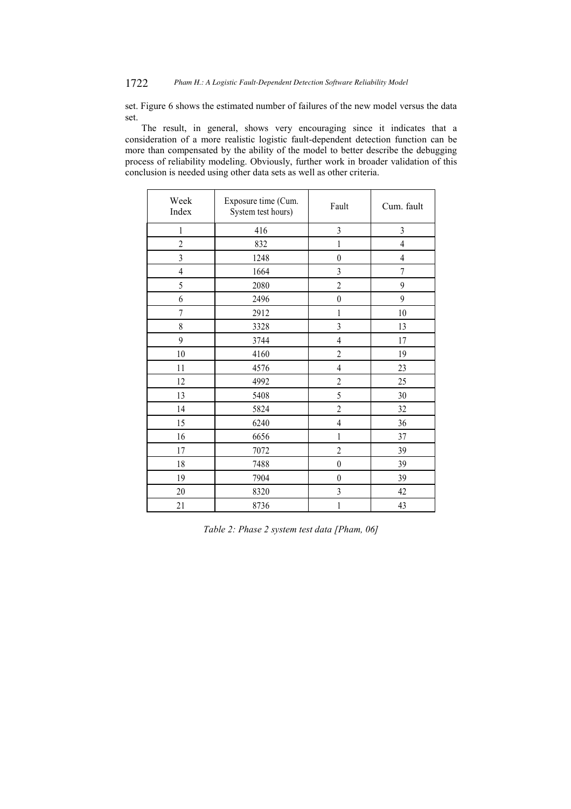# 1722 *Pham H.: A Logistic Fault-Dependent Detection Software Reliability Model*

set. Figure 6 shows the estimated number of failures of the new model versus the data set.

The result, in general, shows very encouraging since it indicates that a consideration of a more realistic logistic fault-dependent detection function can be more than compensated by the ability of the model to better describe the debugging process of reliability modeling. Obviously, further work in broader validation of this conclusion is needed using other data sets as well as other criteria.

| Week<br>Index  | Exposure time (Cum.<br>System test hours) | Fault            | Cum. fault     |  |
|----------------|-------------------------------------------|------------------|----------------|--|
| 1              | 416                                       | $\overline{3}$   | $\overline{3}$ |  |
| $\overline{c}$ | 832                                       | $\mathbf{1}$     | $\overline{4}$ |  |
| $\overline{3}$ | 1248                                      | $\boldsymbol{0}$ | $\overline{4}$ |  |
| $\overline{4}$ | 1664                                      | $\overline{3}$   | $\overline{7}$ |  |
| 5              | 2080                                      | $\overline{2}$   | 9              |  |
| 6              | 2496                                      | $\boldsymbol{0}$ | 9              |  |
| $\overline{7}$ | 2912                                      | $\,1$            | 10             |  |
| 8              | 3328                                      | $\overline{3}$   | 13             |  |
| 9              | 3744                                      | $\overline{4}$   | 17             |  |
| $10\,$         | 4160                                      | $\overline{c}$   | 19             |  |
| 11             | 4576                                      | $\overline{4}$   | 23             |  |
| 12             | 4992                                      | $\overline{c}$   | 25             |  |
| 13             | 5408                                      | 5                | 30             |  |
| 14             | 5824                                      | $\overline{2}$   | 32             |  |
| 15             | 6240                                      | $\overline{4}$   | 36             |  |
| 16             | 6656                                      | 1                | 37             |  |
| 17             | 7072                                      | $\overline{c}$   | 39             |  |
| 18             | 7488                                      | $\boldsymbol{0}$ | 39             |  |
| 19             | 7904                                      | $\boldsymbol{0}$ | 39             |  |
| 20             | 8320                                      | 3                | 42             |  |
| 21             | 8736                                      | $\mathbf{1}$     | 43             |  |

*Table 2: Phase 2 system test data [Pham, 06]*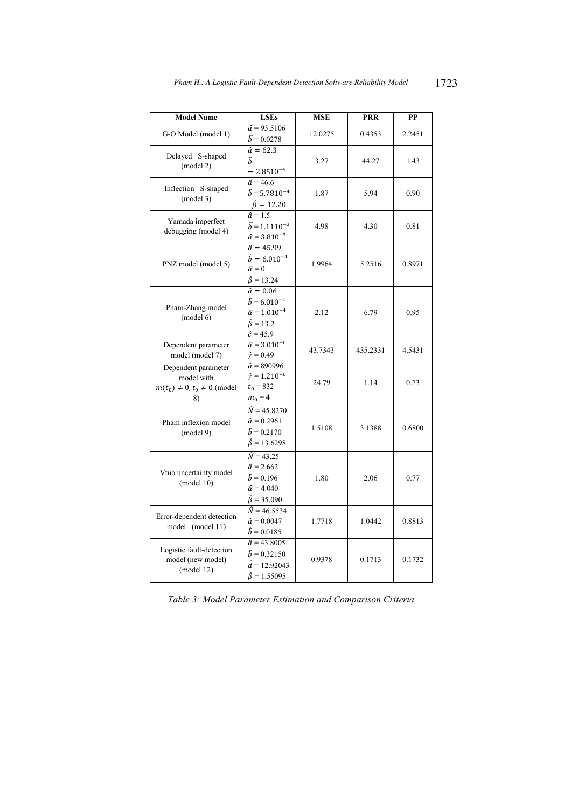| <b>Model Name</b>                                                             | <b>LSEs</b>                                                                                                           | <b>MSE</b> | <b>PRR</b> | PP     |
|-------------------------------------------------------------------------------|-----------------------------------------------------------------------------------------------------------------------|------------|------------|--------|
| G-O Model (model 1)                                                           | $\hat{a} = 93.5106$<br>$\hat{b} = 0.0278$                                                                             | 12.0275    | 0.4353     | 2.2451 |
| Delayed S-shaped<br>(mod 2)                                                   | $\hat{a} = 62.3$<br>ĥ<br>$= 2.8510^{-4}$                                                                              | 3.27       | 44.27      | 1.43   |
| Inflection S-shaped<br>(mod 3)                                                | $\hat{a} = 46.6$<br>$\hat{b} = 5.7810^{-4}$<br>$\hat{\beta} = 12.20$                                                  | 1.87       | 5.94       | 0.90   |
| Yamada imperfect<br>debugging (model 4)                                       | $\hat{a} = 1.5$<br>$\widehat{b} = 1.1110^{-3}$<br>$\hat{\alpha} = 3.810^{-3}$                                         | 4.98       | 4.30       | 0.81   |
| PNZ model (model 5)                                                           | $\hat{a} = 45.99$<br>$\hat{b} = 6.010^{-4}$<br>$\hat{\alpha} = 0$<br>$\hat{\beta} = 13.24$                            | 1.9964     | 5.2516     | 0.8971 |
| Pham-Zhang model<br>(model 6)                                                 | $\hat{a} = 0.06$<br>$\hat{b} = 6.010^{-4}$<br>$\hat{\alpha} = 1.010^{-4}$<br>$\hat{\beta} = 13.2$<br>$\hat{c} = 45.9$ | 2.12       | 6.79       | 0.95   |
| Dependent parameter<br>model (model 7)                                        | $\hat{\alpha} = 3.010^{-6}$<br>$\hat{\gamma} = 0.49$                                                                  | 43.7343    | 435.2331   | 4.5431 |
| Dependent parameter<br>model with<br>$m(t_0) \neq 0, t_0 \neq 0$ (model<br>8) | $\hat{a} = 890996$<br>$\hat{v} = 1.210^{-6}$<br>$t_0 = 832$<br>$m_0 = 4$                                              | 24.79      | 1.14       | 0.73   |
| Pham inflexion model<br>(mod 9)                                               | $\hat{N} = 45.8270$<br>$\hat{a} = 0.2961$<br>$\hat{b} = 0.2170$<br>$\hat{\beta} = 13.6298$                            | 1.5108     | 3.1388     | 0.6800 |
| Vtub uncertainty model<br>(model 10)                                          | $\hat{N} = 43.25$<br>$\hat{a} = 2.662$<br>$\hat{b} = 0.196$<br>$\hat{\alpha} = 4.040$<br>$\hat{\beta} = 35.090$       | 1.80       | 2.06       | 0.77   |
| Error-dependent detection<br>model (model 11)                                 | $\hat{N} = 46.5534$<br>$\hat{a} = 0.0047$<br>$\hat{b} = 0.0185$                                                       | 1.7718     | 1.0442     | 0.8813 |
| Logistic fault-detection<br>model (new model)<br>(mod 12)                     | $\hat{a} = 43.8005$<br>$\hat{b} = 0.32150$<br>$\hat{d} = 12.92043$<br>$\hat{\beta} = 1.55095$                         | 0.9378     | 0.1713     | 0.1732 |

*Table 3: Model Parameter Estimation and Comparison Criteria*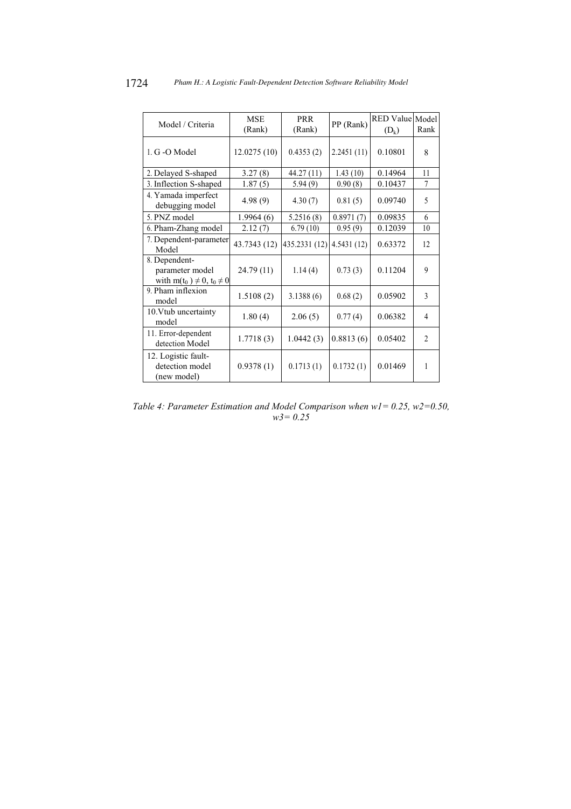| Model / Criteria                                                        | <b>MSE</b><br>(Rank) | <b>PRR</b><br>(Rank) | PP (Rank)  | RED Value Model<br>$(D_k)$ | Rank           |
|-------------------------------------------------------------------------|----------------------|----------------------|------------|----------------------------|----------------|
| 1. G -O Model                                                           | 12.0275(10)          | 0.4353(2)            | 2.2451(11) | 0.10801                    | 8              |
| 2. Delayed S-shaped                                                     | 3.27(8)              | 44.27 (11)           | 1.43(10)   | 0.14964                    | 11             |
| 3. Inflection S-shaped                                                  | 1.87(5)              | 5.94(9)              | 0.90(8)    | 0.10437                    | 7              |
| 4. Yamada imperfect<br>debugging model                                  | 4.98(9)              | 4.30(7)              | 0.81(5)    | 0.09740                    | 5              |
| 5. PNZ model                                                            | 1.9964(6)            | 5.2516(8)            | 0.8971(7)  | 0.09835                    | 6              |
| 6. Pham-Zhang model                                                     | 2.12(7)              | 6.79(10)             | 0.95(9)    | 0.12039                    | 10             |
| 7. Dependent-parameter<br>Model                                         | 43.7343 (12)         | 435.2331 (12)        | 4.5431(12) | 0.63372                    | 12             |
| 8. Dependent-<br>parameter model<br>with $m(t_0) \neq 0$ , $t_0 \neq 0$ | 24.79 (11)           | 1.14(4)              | 0.73(3)    | 0.11204                    | 9              |
| 9. Pham inflexion<br>model                                              | 1.5108(2)            | 3.1388(6)            | 0.68(2)    | 0.05902                    | $\mathcal{E}$  |
| 10. Vtub uncertainty<br>model                                           | 1.80(4)              | 2.06(5)              | 0.77(4)    | 0.06382                    | $\overline{4}$ |
| 11. Error-dependent<br>detection Model                                  | 1.7718(3)            | 1.0442(3)            | 0.8813(6)  | 0.05402                    | $\overline{2}$ |
| 12. Logistic fault-<br>detection model<br>(new model)                   | 0.9378(1)            | 0.1713(1)            | 0.1732(1)  | 0.01469                    | 1              |

*Table 4: Parameter Estimation and Model Comparison when w1= 0.25, w2=0.50, w3= 0.25*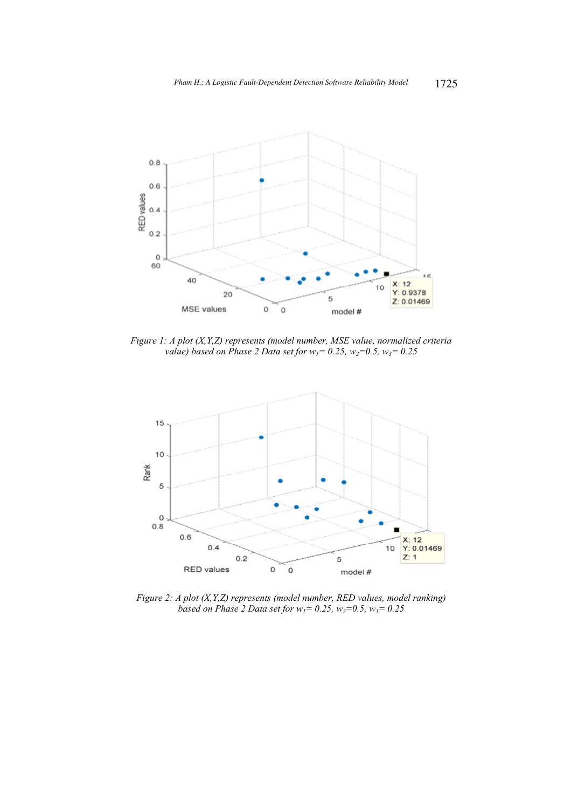

*Figure 1: A plot (X,Y,Z) represents (model number, MSE value, normalized criteria value)* based on Phase 2 Data set for  $w_1 = 0.25$ ,  $w_2 = 0.5$ ,  $w_3 = 0.25$ 



*Figure 2: A plot (X,Y,Z) represents (model number, RED values, model ranking) based on Phase 2 Data set for w1= 0.25, w2=0.5, w3= 0.25*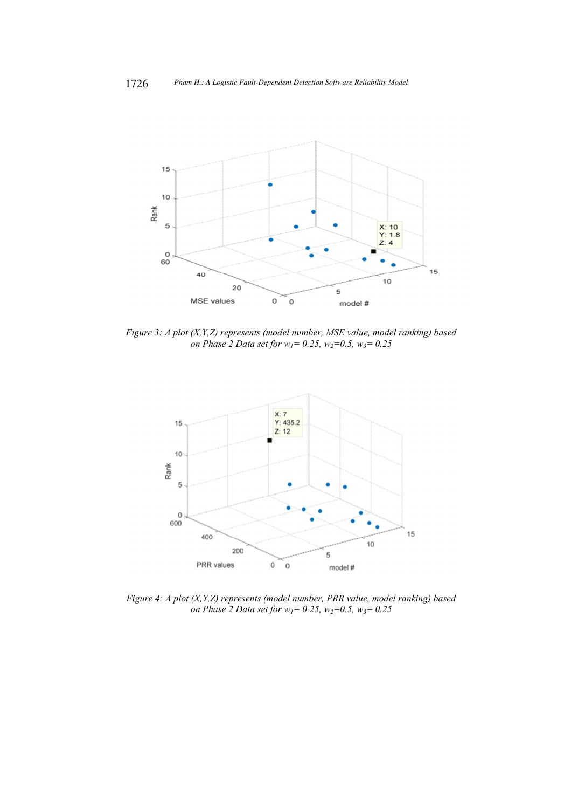

*Figure 3: A plot (X,Y,Z) represents (model number, MSE value, model ranking) based on Phase 2 Data set for w1= 0.25, w2=0.5, w3= 0.25* 



*Figure 4: A plot (X,Y,Z) represents (model number, PRR value, model ranking) based on Phase 2 Data set for w1= 0.25, w2=0.5, w3= 0.25*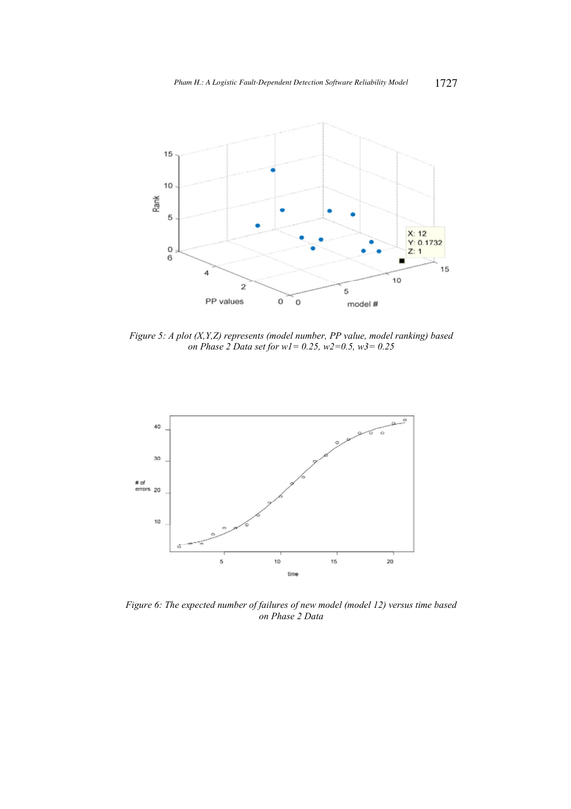

*Figure 5: A plot (X,Y,Z) represents (model number, PP value, model ranking) based on Phase 2 Data set for w1= 0.25, w2=0.5, w3= 0.25* 



*Figure 6: The expected number of failures of new model (model 12) versus time based on Phase 2 Data*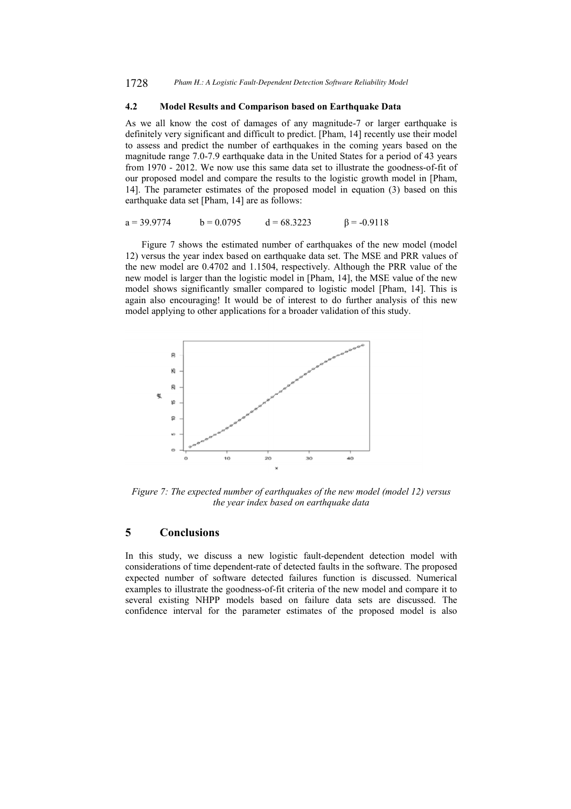### **4.2 Model Results and Comparison based on Earthquake Data**

As we all know the cost of damages of any magnitude-7 or larger earthquake is definitely very significant and difficult to predict. [Pham, 14] recently use their model to assess and predict the number of earthquakes in the coming years based on the magnitude range 7.0-7.9 earthquake data in the United States for a period of 43 years from 1970 - 2012. We now use this same data set to illustrate the goodness-of-fit of our proposed model and compare the results to the logistic growth model in [Pham, 14]. The parameter estimates of the proposed model in equation (3) based on this earthquake data set [Pham, 14] are as follows:

$$
a = 39.9774 \qquad b = 0.0795 \qquad d = 68.3223 \qquad \beta = -0.9118
$$

Figure 7 shows the estimated number of earthquakes of the new model (model 12) versus the year index based on earthquake data set. The MSE and PRR values of the new model are 0.4702 and 1.1504, respectively. Although the PRR value of the new model is larger than the logistic model in [Pham, 14], the MSE value of the new model shows significantly smaller compared to logistic model [Pham, 14]. This is again also encouraging! It would be of interest to do further analysis of this new model applying to other applications for a broader validation of this study.



*Figure 7: The expected number of earthquakes of the new model (model 12) versus the year index based on earthquake data* 

### **5 Conclusions**

In this study, we discuss a new logistic fault-dependent detection model with considerations of time dependent-rate of detected faults in the software. The proposed expected number of software detected failures function is discussed. Numerical examples to illustrate the goodness-of-fit criteria of the new model and compare it to several existing NHPP models based on failure data sets are discussed. The confidence interval for the parameter estimates of the proposed model is also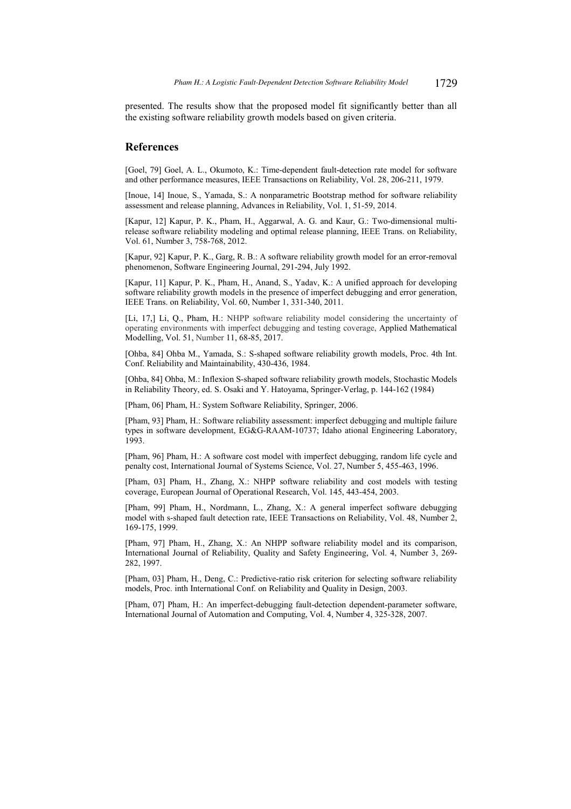presented. The results show that the proposed model fit significantly better than all the existing software reliability growth models based on given criteria.

### **References**

[Goel, 79] Goel, A. L., Okumoto, K.: Time-dependent fault-detection rate model for software and other performance measures, IEEE Transactions on Reliability, Vol. 28, 206-211, 1979.

[Inoue, 14] Inoue, S., Yamada, S.: A nonparametric Bootstrap method for software reliability assessment and release planning, Advances in Reliability, Vol. 1, 51-59, 2014.

[Kapur, 12] Kapur, P. K., Pham, H., Aggarwal, A. G. and Kaur, G.: Two-dimensional multirelease software reliability modeling and optimal release planning, IEEE Trans. on Reliability, Vol. 61, Number 3, 758-768, 2012.

[Kapur, 92] Kapur, P. K., Garg, R. B.: A software reliability growth model for an error-removal phenomenon, Software Engineering Journal, 291-294, July 1992.

[Kapur, 11] Kapur, P. K., Pham, H., Anand, S., Yadav, K.: A unified approach for developing software reliability growth models in the presence of imperfect debugging and error generation, IEEE Trans. on Reliability, Vol. 60, Number 1, 331-340, 2011.

[Li, 17,] Li, Q., Pham, H.: NHPP software reliability model considering the uncertainty of operating environments with imperfect debugging and testing coverage, Applied Mathematical Modelling, Vol. 51, Number 11, 68-85, 2017.

[Ohba, 84] Ohba M., Yamada, S.: S-shaped software reliability growth models, Proc. 4th Int. Conf. Reliability and Maintainability, 430-436, 1984.

[Ohba, 84] Ohba, M.: Inflexion S-shaped software reliability growth models, Stochastic Models in Reliability Theory, ed. S. Osaki and Y. Hatoyama, Springer-Verlag, p. 144-162 (1984)

[Pham, 06] Pham, H.: System Software Reliability, Springer, 2006.

[Pham, 93] Pham, H.: Software reliability assessment: imperfect debugging and multiple failure types in software development, EG&G-RAAM-10737; Idaho ational Engineering Laboratory, 1993.

[Pham, 96] Pham, H.: A software cost model with imperfect debugging, random life cycle and penalty cost, International Journal of Systems Science, Vol. 27, Number 5, 455-463, 1996.

[Pham, 03] Pham, H., Zhang, X.: NHPP software reliability and cost models with testing coverage, European Journal of Operational Research, Vol. 145, 443-454, 2003.

[Pham, 99] Pham, H., Nordmann, L., Zhang, X.: A general imperfect software debugging model with s-shaped fault detection rate, IEEE Transactions on Reliability, Vol. 48, Number 2, 169-175, 1999.

[Pham, 97] Pham, H., Zhang, X.: An NHPP software reliability model and its comparison, International Journal of Reliability, Quality and Safety Engineering, Vol. 4, Number 3, 269- 282, 1997.

[Pham, 03] Pham, H., Deng, C.: Predictive-ratio risk criterion for selecting software reliability models, Proc. inth International Conf. on Reliability and Quality in Design, 2003.

[Pham, 07] Pham, H.: An imperfect-debugging fault-detection dependent-parameter software, International Journal of Automation and Computing, Vol. 4, Number 4, 325-328, 2007.